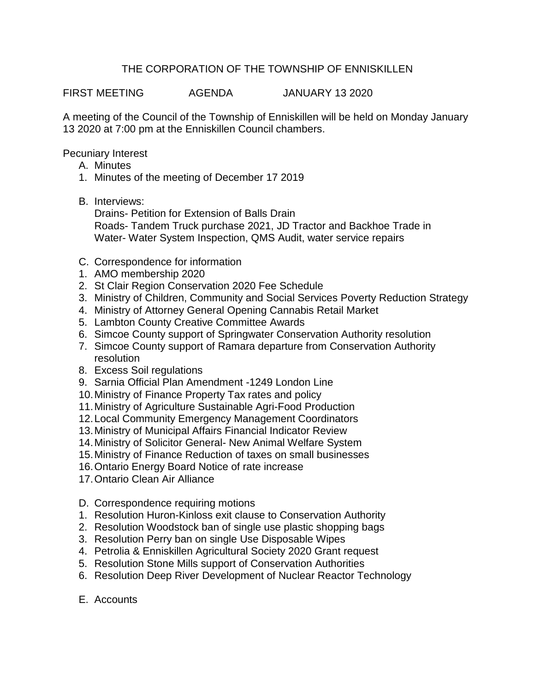## THE CORPORATION OF THE TOWNSHIP OF ENNISKILLEN

FIRST MEETING AGENDA JANUARY 13 2020

A meeting of the Council of the Township of Enniskillen will be held on Monday January 13 2020 at 7:00 pm at the Enniskillen Council chambers.

Pecuniary Interest

- A. Minutes
- 1. Minutes of the meeting of December 17 2019
- B. Interviews:

Drains- Petition for Extension of Balls Drain Roads- Tandem Truck purchase 2021, JD Tractor and Backhoe Trade in Water- Water System Inspection, QMS Audit, water service repairs

- C. Correspondence for information
- 1. AMO membership 2020
- 2. St Clair Region Conservation 2020 Fee Schedule
- 3. Ministry of Children, Community and Social Services Poverty Reduction Strategy
- 4. Ministry of Attorney General Opening Cannabis Retail Market
- 5. Lambton County Creative Committee Awards
- 6. Simcoe County support of Springwater Conservation Authority resolution
- 7. Simcoe County support of Ramara departure from Conservation Authority resolution
- 8. Excess Soil regulations
- 9. Sarnia Official Plan Amendment -1249 London Line
- 10.Ministry of Finance Property Tax rates and policy
- 11.Ministry of Agriculture Sustainable Agri-Food Production
- 12.Local Community Emergency Management Coordinators
- 13.Ministry of Municipal Affairs Financial Indicator Review
- 14.Ministry of Solicitor General- New Animal Welfare System
- 15.Ministry of Finance Reduction of taxes on small businesses
- 16.Ontario Energy Board Notice of rate increase
- 17.Ontario Clean Air Alliance
- D. Correspondence requiring motions
- 1. Resolution Huron-Kinloss exit clause to Conservation Authority
- 2. Resolution Woodstock ban of single use plastic shopping bags
- 3. Resolution Perry ban on single Use Disposable Wipes
- 4. Petrolia & Enniskillen Agricultural Society 2020 Grant request
- 5. Resolution Stone Mills support of Conservation Authorities
- 6. Resolution Deep River Development of Nuclear Reactor Technology
- E. Accounts